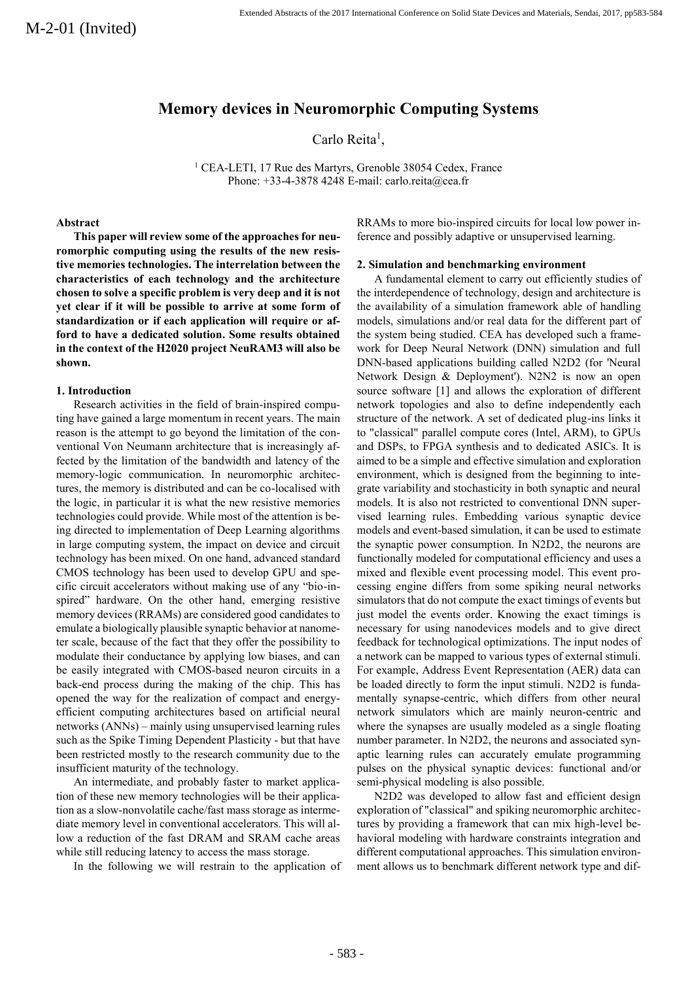# **Memory devices in Neuromorphic Computing Systems**

Carlo Reita<sup>1</sup>,

<sup>1</sup> CEA-LETI, 17 Rue des Martyrs, Grenoble 38054 Cedex, France Phone: +33-4-3878 4248 E-mail: carlo.reita@cea.fr

## **Abstract**

**This paper will review some of the approaches for neuromorphic computing using the results of the new resistive memories technologies. The interrelation between the characteristics of each technology and the architecture chosen to solve a specific problem is very deep and it is not yet clear if it will be possible to arrive at some form of standardization or if each application will require or afford to have a dedicated solution. Some results obtained in the context of the H2020 project NeuRAM3 will also be shown.**

### **1. Introduction**

Research activities in the field of brain-inspired computing have gained a large momentum in recent years. The main reason is the attempt to go beyond the limitation of the conventional Von Neumann architecture that is increasingly affected by the limitation of the bandwidth and latency of the memory-logic communication. In neuromorphic architectures, the memory is distributed and can be co-localised with the logic, in particular it is what the new resistive memories technologies could provide. While most of the attention is being directed to implementation of Deep Learning algorithms in large computing system, the impact on device and circuit technology has been mixed. On one hand, advanced standard CMOS technology has been used to develop GPU and specific circuit accelerators without making use of any "bio-inspired" hardware. On the other hand, emerging resistive memory devices (RRAMs) are considered good candidates to emulate a biologically plausible synaptic behavior at nanometer scale, because of the fact that they offer the possibility to modulate their conductance by applying low biases, and can be easily integrated with CMOS-based neuron circuits in a back-end process during the making of the chip. This has opened the way for the realization of compact and energyefficient computing architectures based on artificial neural networks (ANNs) – mainly using unsupervised learning rules such as the Spike Timing Dependent Plasticity - but that have been restricted mostly to the research community due to the insufficient maturity of the technology.

An intermediate, and probably faster to market application of these new memory technologies will be their application as a slow-nonvolatile cache/fast mass storage as intermediate memory level in conventional accelerators. This will allow a reduction of the fast DRAM and SRAM cache areas while still reducing latency to access the mass storage.

In the following we will restrain to the application of

RRAMs to more bio-inspired circuits for local low power inference and possibly adaptive or unsupervised learning.

## **2. Simulation and benchmarking environment**

A fundamental element to carry out efficiently studies of the interdependence of technology, design and architecture is the availability of a simulation framework able of handling models, simulations and/or real data for the different part of the system being studied. CEA has developed such a framework for Deep Neural Network (DNN) simulation and full DNN-based applications building called N2D2 (for 'Neural Network Design & Deployment'). N2N2 is now an open source software [1] and allows the exploration of different network topologies and also to define independently each structure of the network. A set of dedicated plug-ins links it to "classical" parallel compute cores (Intel, ARM), to GPUs and DSPs, to FPGA synthesis and to dedicated ASICs. It is aimed to be a simple and effective simulation and exploration environment, which is designed from the beginning to integrate variability and stochasticity in both synaptic and neural models. It is also not restricted to conventional DNN supervised learning rules. Embedding various synaptic device models and event-based simulation, it can be used to estimate the synaptic power consumption. In N2D2, the neurons are functionally modeled for computational efficiency and uses a mixed and flexible event processing model. This event processing engine differs from some spiking neural networks simulators that do not compute the exact timings of events but just model the events order. Knowing the exact timings is necessary for using nanodevices models and to give direct feedback for technological optimizations. The input nodes of a network can be mapped to various types of external stimuli. For example, Address Event Representation (AER) data can be loaded directly to form the input stimuli. N2D2 is fundamentally synapse-centric, which differs from other neural network simulators which are mainly neuron-centric and where the synapses are usually modeled as a single floating number parameter. In N2D2, the neurons and associated synaptic learning rules can accurately emulate programming pulses on the physical synaptic devices: functional and/or semi-physical modeling is also possible.

N2D2 was developed to allow fast and efficient design exploration of "classical" and spiking neuromorphic architectures by providing a framework that can mix high-level behavioral modeling with hardware constraints integration and different computational approaches. This simulation environment allows us to benchmark different network type and dif